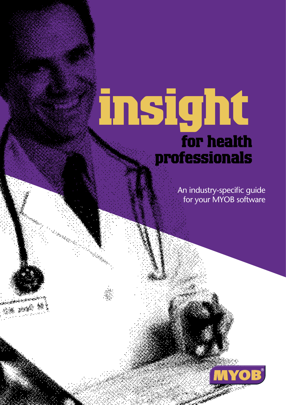# **insight for health professionals**

**Mandang** 

E San Thomas Band<br>Management

An industry-specific guide for your MYOB software

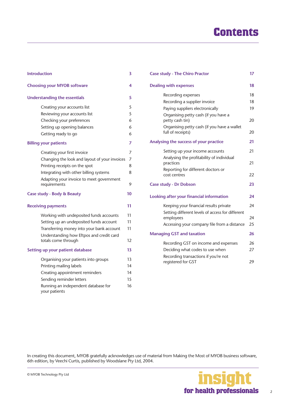## **Contents**

| <b>Introduction</b>                                      | 3  |
|----------------------------------------------------------|----|
| <b>Choosing your MYOB software</b>                       | 4  |
| <b>Understanding the essentials</b>                      | 5  |
| Creating your accounts list                              | 5  |
| Reviewing your accounts list                             | 5  |
| Checking your preferences                                | 6  |
| Setting up opening balances                              | 6  |
| Getting ready to go                                      | 6  |
| <b>Billing your patients</b>                             | 7  |
| Creating your first invoice                              | 7  |
| Changing the look and layout of your invoices            | 7  |
| Printing receipts on the spot                            | 8  |
| Integrating with other billing systems                   | 8  |
| Adapting your invoice to meet government<br>requirements | 9  |
| Case study - Body & Beauty                               | 10 |
| <b>Receiving payments</b>                                | 11 |
| Working with undeposited funds accounts                  | 11 |
| Setting up an undeposited funds account                  | 11 |
| Transferring money into your bank account                | 11 |
| Understanding how Eftpos and credit card                 |    |
| totals come through                                      | 12 |
| Setting up your patient database                         | 13 |
| Organising your patients into groups                     | 13 |
| Printing mailing labels                                  | 14 |
| Creating appointment reminders                           | 14 |
| Sending reminder letters                                 | 15 |
| Running an independent database for<br>your patients     | 16 |

| <b>Case study - The Chiro Practor</b>                            | 17 |
|------------------------------------------------------------------|----|
| <b>Dealing with expenses</b>                                     |    |
| Recording expenses                                               | 18 |
| Recording a supplier invoice                                     | 18 |
| Paying suppliers electronically                                  | 19 |
| Organising petty cash (if you have a<br>petty cash tin)          | 20 |
| Organising petty cash (if you have a wallet<br>full of receipts) | 20 |
| Analysing the success of your practice                           | 21 |
| Setting up your income accounts                                  | 21 |
| Analysing the profitability of individual<br>practices           | 21 |
| Reporting for different doctors or<br>cost centres               | 22 |
| <b>Case study - Dr Dobson</b>                                    | 23 |
| Looking after your financial information                         | 24 |
| Keeping your financial results private                           | 24 |
| Setting different levels of access for different<br>employees    | 24 |
| Accessing your company file from a distance                      | 25 |
| <b>Managing GST and taxation</b>                                 | 26 |
| Recording GST on income and expenses                             | 26 |
| Deciding what codes to use when                                  | 27 |
| Recording transactions if you're not<br>registered for GST       | 29 |

In creating this document, MYOB gratefully acknowledges use of material from Making the Most of MYOB business software, 6th edition, by Veechi Curtis, published by Woodslane Pty Ltd, 2004.

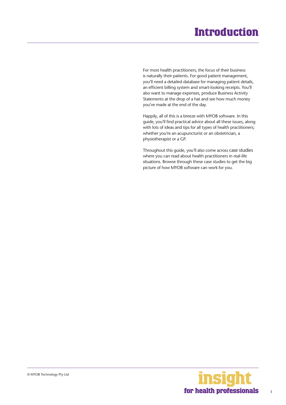## **Introduction**

<span id="page-2-0"></span>For most health practitioners, the focus of their business is naturally their patients. For good patient management, you'll need a detailed database for managing patient details, an efficient billing system and smart-looking receipts. You'll also want to manage expenses, produce Business Activity Statements at the drop of a hat and see how much money you've made at the end of the day.

Happily, all of this is a breeze with MYOB software. In this guide, you'll find practical advice about all these issues, along with lots of ideas and tips for all types of health practitioners; whether you're an acupuncturist or an obstetrician, a physiotherapist or a GP.

Throughout this guide, you'll also come across case studies where you can read about health practitioners in real-life situations. Browse through these case studies to get the big picture of how MYOB software can work for you.

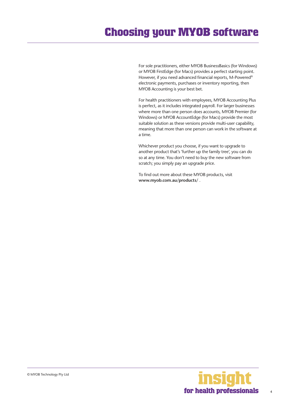## <span id="page-3-0"></span>**Choosing your MYOB software**

For sole practitioners, either MYOB BusinessBasics (for Windows) or MYOB FirstEdge (for Macs) provides a perfect starting point. However, if you need advanced financial reports, M-Powered® electronic payments, purchases or inventory reporting, then MYOB Accounting is your best bet.

For health practitioners with employees, MYOB Accounting Plus is perfect, as it includes integrated payroll. For larger businesses where more than one person does accounts, MYOB Premier (for Windows) or MYOB AccountEdge (for Macs) provide the most suitable solution as these versions provide multi-user capability, meaning that more than one person can work in the software at a time.

Whichever product you choose, if you want to upgrade to another product that's 'further up the family tree', you can do so at any time. You don't need to buy the new software from scratch; you simply pay an upgrade price.

To find out more about these MYOB products, visit **www.myob.com.au/products/** .



4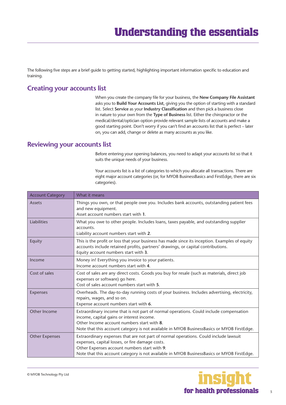<span id="page-4-0"></span>The following five steps are a brief guide to getting started, highlighting important information specific to education and training.

#### **Creating your accounts list**

When you create the company file for your business, the **New Company File Assistant**  asks you to **Build Your Accounts List**, giving you the option of starting with a standard list. Select **Service** as your **Industry Classification** and then pick a business close in nature to your own from the **Type of Business** list. Either the chiropractor or the medical/dental/optician option provide relevant sample lists of accounts and make a good starting point. Don't worry if you can't find an accounts list that is perfect – later on, you can add, change or delete as many accounts as you like.

#### **Reviewing your accounts list**

Before entering your opening balances, you need to adapt your accounts list so that it suits the unique needs of your business.

Your accounts list is a list of categories to which you allocate all transactions. There are eight major account categories (or, for MYOB BusinessBasics and FirstEdge, there are six categories).

| <b>Account Category</b> | What it means                                                                                                                                                                                                                                                                         |
|-------------------------|---------------------------------------------------------------------------------------------------------------------------------------------------------------------------------------------------------------------------------------------------------------------------------------|
| Assets                  | Things you own, or that people owe you. Includes bank accounts, outstanding patient fees<br>and new equipment.<br>Asset account numbers start with 1.                                                                                                                                 |
| Liabilities             | What you owe to other people. Includes loans, taxes payable, and outstanding supplier<br>accounts.<br>Liability account numbers start with 2.                                                                                                                                         |
| Equity                  | This is the profit or loss that your business has made since its inception. Examples of equity<br>accounts include retained profits, partners' drawings, or capital contributions.<br>Equity account numbers start with 3.                                                            |
| Income                  | Money in! Everything you invoice to your patients.<br>Income account numbers start with 4.                                                                                                                                                                                            |
| Cost of sales           | Cost of sales are any direct costs. Goods you buy for resale (such as materials, direct job<br>expenses or software) go here.<br>Cost of sales account numbers start with 5.                                                                                                          |
| Expenses                | Overheads. The day-to-day running costs of your business. Includes advertising, electricity,<br>repairs, wages, and so on.<br>Expense account numbers start with 6.                                                                                                                   |
| Other Income            | Extraordinary income that is not part of normal operations. Could include compensation<br>income, capital gains or interest income.<br>Other Income account numbers start with 8.<br>Note that this account category is not available in MYOB BusinessBasics or MYOB FirstEdge.       |
| <b>Other Expenses</b>   | Extraordinary expenses that are not part of normal operations. Could include lawsuit<br>expenses, capital losses, or fire damage costs.<br>Other Expenses account numbers start with 9.<br>Note that this account category is not available in MYOB BusinessBasics or MYOB FirstEdge. |

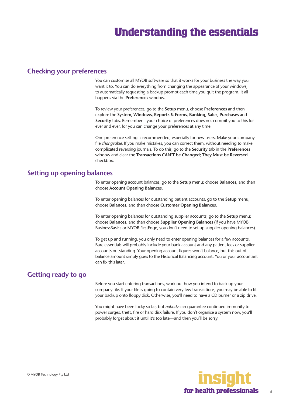#### <span id="page-5-0"></span>**Checking your preferences**

You can customise all MYOB software so that it works for your business the way you want it to. You can do everything from changing the appearance of your windows, to automatically requesting a backup prompt each time you quit the program. It all happens via the **Preferences** window.

To review your preferences, go to the **Setup** menu, choose **Preferences** and then explore the **System**, **Windows**, **Reports & Forms**, **Banking**, **Sales**, **Purchases** and **Security** tabs. Remember—your choice of preferences does not commit you to this for ever and ever, for you can change your preferences at any time.

One preference setting is recommended, especially for new users. Make your company file *changeable*. If you make mistakes, you can correct them, without needing to make complicated reversing journals. To do this, go to the **Security** tab in the **Preferences**  window and clear the **Transactions CAN'T be Changed; They Must be Reversed**  checkbox.

#### **Setting up opening balances**

To enter opening account balances, go to the **Setup** menu; choose **Balances**, and then choose **Account Opening Balances**.

To enter opening balances for outstanding patient accounts, go to the **Setup** menu; choose **Balances**, and then choose **Customer Opening Balances**.

To enter opening balances for outstanding supplier accounts, go to the **Setup** menu; choose **Balances**, and then choose **Supplier Opening Balances** (if you have MYOB BusinessBasics or MYOB FirstEdge, you don't need to set up supplier opening balances).

To get up and running, you only need to enter opening balances for a few accounts. Bare essentials will probably include your bank account and any patient fees or supplier accounts outstanding. Your opening account figures won't balance, but this out of balance amount simply goes to the Historical Balancing account. You or your accountant can fix this later.

#### **Getting ready to go**

Before you start entering transactions, work out how you intend to back up your company file. If your file is going to contain very few transactions, you may be able to fit your backup onto floppy disk. Otherwise, you'll need to have a CD burner or a zip drive.

You might have been lucky so far, but *nobody* can guarantee continued immunity to power surges, theft, fire or hard disk failure. If you don't organise a system now, you'll probably forget about it until it's too late—and then you'll be sorry.

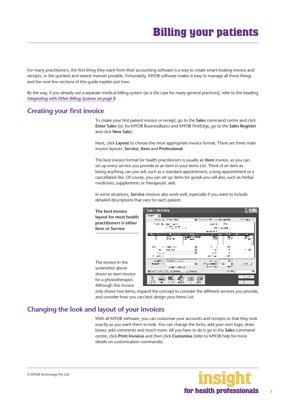<span id="page-6-0"></span>For many practitioners, the first thing they want from their accounting software is a way to create smart-looking invoice and receipts, in the quickest and easiest manner possible. Fortunately, MYOB software makes it easy to manage all these things and the next few sections of this guide explain just how.

By the way, if you already use a separate medical billing system (as is the case for many general practices), refer to the heading *[Integrating with Other Billing Systems on page 8](#page-7-0).*

#### **Creating your first invoice**

To create your first patient invoice or receipt, go to the **Sales** command centre and click **Enter Sales** (or, for MYOB BusinessBasics and MYOB FirstEdge, go to the **Sales Register**  and click **New Sale**).

Next, click **Layout** to choose the most appropriate invoice format. There are three main invoice layouts: **Service**, **Item** and **Professional**.

The best invoice format for health practitioners is usually an **Item** invoice, as you can set up every service you provide as an item in your Items List. Think of an item as being anything can you sell, such as a standard appointment, a long appointment or a cancellation fee. Of course, you can set up items for goods you sell also, such as herbal medicines, supplements or therapeutic aids.

In some situations, **Service** invoices also work well, especially if you want to include detailed descriptions that vary for each patient.

Sales - New Item  $L$  iolx **The best invoice layout for most health**  国 S. Treas des **Million and the contract the** 2 Police **practitioners is either**  ner til an.<br>Tinan **Item or Service AN LICENS March 11 State State**  $\colon$ rata da<br>Isman  $\ddot{\phantom{a}}$ ٦.,  $\overline{a}$  $\mathbb{E}$ ъ p.  $2.111$ **ALC** de cina × consider a Statement of  $\overline{15}$  and  $\overline{\mathbf{x}}$ The invoice in the ш **Prior attacks**  $\cdots$  $\mathcal{C}$ **Processing** والأمال المناسبا screenshot above  $\ddotsc_{\text{TV}}$ over the part of \$0,000 between **Where** shows an item invoice 雫 Q for a physiotherapist.  $\sim$ 92 G Although this invoice

only shows two items, expand the concept to consider the different services you provide, and consider how you can best design your Items List.

#### **Changing the look and layout of your invoices**

With all MYOB software, you can customise your accounts and receipts so that they look exactly as you want them to look. You can change the fonts; add your own logo; draw boxes; add comments and much more. All you have to do is go to the **Sales** command centre; click **Print Invoices** and then click **Customise** (refer to MYOB help for more details on customisation commands).

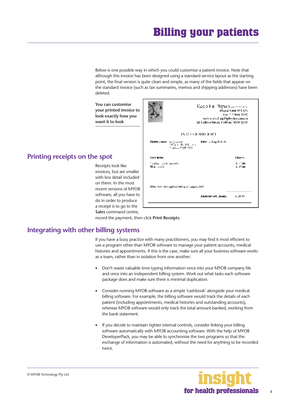<span id="page-7-0"></span>Below is one possible way in which you could customise a patient invoice. Note that although this invoice has been designed using a standard service layout as the starting point, the final version is quite clean and simple, as many of the fields that appear on the standard invoice (such as tax summaries, memos and shipping addresses) have been deleted.

**You can customise your printed invoice to look exactly how you want it to look**

#### **Printing receipts on the spot**

Receipts look like invoices, but are smaller with less detail included on them. In the most recent versions of MYOB software, all you have to do in order to produce a receipt is to go to the **Sales** command centre,

|                                                                                      | Keep Fit Physip January<br><b>Phone: 14141-55.5 523</b><br>Day: 711-9404-0090<br>were worsel equity he-issue succes<br>22 Lothers Street, Follow, NSW 2121 |                    |  |  |
|--------------------------------------------------------------------------------------|------------------------------------------------------------------------------------------------------------------------------------------------------------|--------------------|--|--|
|                                                                                      | IN STOCK ARECHTER                                                                                                                                          |                    |  |  |
| Paleon Saude - Carl Latest<br>- Philippine - Gently - Loc<br>הקליקה של המוני המוני ה | <b>Date CAugust 2014</b>                                                                                                                                   |                    |  |  |
| Kein frien                                                                           |                                                                                                                                                            | <b>Charms</b>      |  |  |
| وكالمحد فعورت ملحدة<br>प्यक ⊶म                                                       |                                                                                                                                                            | s - ton<br>\$17.00 |  |  |
| diale, isan atau gara dama wasuwada DAC.                                             |                                                                                                                                                            |                    |  |  |
|                                                                                      | Kampati will, Janks                                                                                                                                        | اللائحان           |  |  |

record the payment, then click **Print Receipts**.

#### **Integrating with other billing systems**

If you have a busy practice with many practitioners, you may find it most efficient to use a program other than MYOB software to manage your patient accounts, medical histories and appointments. If this is the case, make sure all your business software works as a team, rather than in isolation from one another:

- Don't waste valuable time typing information once into your MYOB company file and once into an independent billing system. Work out what tasks each software package does and make sure there is minimal duplication.
- Consider running MYOB software as a simple 'cashbook' alongside your medical billing software. For example, the billing software would track the details of each patient (including appointments, medical histories and outstanding accounts), whereas MYOB software would only track the total amount banked, working from the bank statement.
- If you decide to maintain tighter internal controls, consider linking your billing software automatically with MYOB accounting software. With the help of MYOB DeveloperPack, you may be able to synchronise the two programs so that the exchange of information is automated, without the need for anything to be recorded twice.

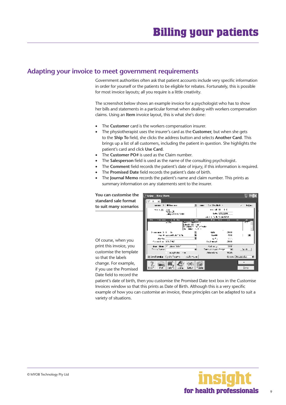#### <span id="page-8-0"></span>**Adapting your invoice to meet government requirements**

Government authorities often ask that patient accounts include very specific information in order for yourself or the patients to be eligible for rebates. Fortunately, this is possible for most invoice layouts; all you require is a little creativity.

The screenshot below shows an example invoice for a psychologist who has to show her bills and statements in a particular format when dealing with workers compensation claims. Using an **Item** invoice layout, this is what she's done:

- The **Customer** card is the workers compensation insurer.
- The physiotherapist uses the insurer's card as the **Customer**, but when she gets to the **Ship To** field, she clicks the address button and selects **Another Card**. This brings up a list of all customers, including the patient in question. She highlights the patient's card and click **Use Card**.
- The **Customer PO#** is used as the Claim number.
- The **Salesperson** field is used as the name of the consulting psychologist.
- The **Comment** field records the patient's date of injury, if this information is required.
- The **Promised Date** field records the patient's date of birth.
- The **Journal Memo** records the patient's name and claim number. This prints as summary information on any statements sent to the insurer.

so that the labels change. For example, if you use the Promised

Date field to record the

| You can customise the   | Nation - Herse Herm.                                                        | ⊓κ                        |
|-------------------------|-----------------------------------------------------------------------------|---------------------------|
| standard sale format    | ÷<br>٠                                                                      |                           |
| to suit many scenarios  | samer > Elbarace<br>No. Shadhah in                                          | z kujas                   |
|                         | . <b>.</b><br>つい黒<br>Vb.                                                    |                           |
|                         | Law Concert<br>.deg + 1 1 - 0 2 - 5 0 0                                     |                           |
|                         | 机电子电子 医单位神经系统<br>in dha<br>ÞП<br>m<br><b>F</b> 11<br>                       | п<br>ш                    |
|                         | - 11<br>www.com/www.a                                                       | 77                        |
|                         | シンペール                                                                       |                           |
|                         | فالته<br>$2.111 - 2.22$                                                     | <b>DE 11</b>              |
|                         | that the about the China.<br>$1 - 44$                                       | 4H                        |
| Of course, when you     | die frau<br>ωп.<br>Sumba Stake<br>استعدادنا                                 | YV.<br>-24.11             |
|                         |                                                                             |                           |
| print this invoice, you | And the Product Sect<br>Address of<br>Same an internet Transit<br>The Story | 31 H<br>$\mathbf{v}$<br>н |
| customise the template  | aughthor can<br><b>Jakobskow</b>                                            | WOM.                      |
| so that the labels      | OliceFoomLa (QU:fourn:<br>6.L K                                             | Ginz, Disasche            |
| change. For example,    |                                                                             |                           |
| if you use the Promised | ien i<br>r r<br>':ara<br><b>Low</b>                                         | 1:1:1                     |

patient's date of birth, then you customise the Promised Date text box in the Customise Invoices window so that this prints as Date of Birth. Although this is a very specific example of how you can customise an invoice, these principles can be adapted to suit a variety of situations.

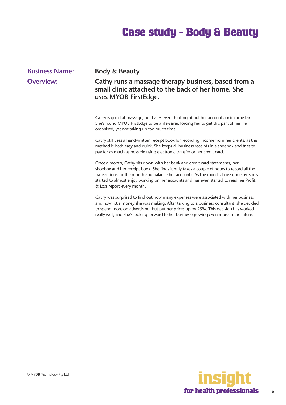## **Case study - Body & Beauty**

#### <span id="page-9-0"></span>**Business Name: Body & Beauty Overview: Cathy runs a massage therapy business, based from a small clinic attached to the back of her home. She uses MYOB FirstEdge.** Cathy is good at massage, but hates even thinking about her accounts or income tax. She's found MYOB FirstEdge to be a life-saver, forcing her to get this part of her life organised, yet not taking up too much time. Cathy still uses a hand-written receipt book for recording income from her clients, as this method is both easy and quick. She keeps all business receipts in a shoebox and tries to pay for as much as possible using electronic transfer or her credit card.

Once a month, Cathy sits down with her bank and credit card statements, her shoebox and her receipt book. She finds it only takes a couple of hours to record all the transactions for the month and balance her accounts. As the months have gone by, she's started to almost enjoy working on her accounts and has even started to read her Profit & Loss report every month.

Cathy was surprised to find out how many expenses were associated with her business and how little money she was making. After talking to a business consultant, she decided to spend more on advertising, but put her prices up by 25%. This decision has worked really well, and she's looking forward to her business growing even more in the future.

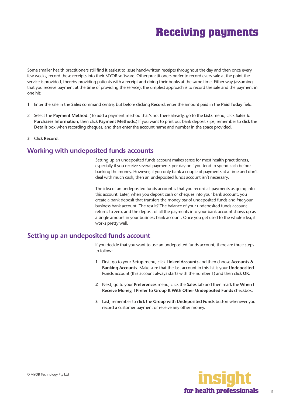<span id="page-10-0"></span>Some smaller health practitioners still find it easiest to issue hand-written receipts throughout the day and then once every few weeks, record these receipts into their MYOB software. Other practitioners prefer to record every sale at the point the service is provided, thereby providing patients with a receipt and doing their books at the same time. Either way (assuming that you receive payment at the time of providing the service), the simplest approach is to record the sale and the payment in one hit:

- **1** Enter the sale in the **Sales** command centre, but before clicking **Record**, enter the amount paid in the **Paid Today** field.
- 2 Select the **Payment Method**. (To add a payment method that's not there already, go to the **Lists** menu, click **Sales & Purchases Information**, then click **Payment Methods**.) If you want to print out bank deposit slips, remember to click the **Details** box when recording cheques, and then enter the account name and number in the space provided.
- **3** Click **Record**.

#### **Working with undeposited funds accounts**

Setting up an undeposited funds account makes sense for most health practitioners, especially if you receive several payments per day or if you tend to spend cash before banking the money. However, if you only bank a couple of payments at a time and don't deal with much cash, then an undeposited funds account isn't necessary.

The idea of an undeposited funds account is that you record all payments as going into this account. Later, when you deposit cash or cheques into your bank account, you create a bank deposit that transfers the money *out* of undeposited funds and *into* your business bank account. The result? The balance of your undeposited funds account returns to zero, and the deposit of all the payments into your bank account shows up as a single amount in your business bank account. Once you get used to the whole idea, it works pretty well.

#### **Setting up an undeposited funds account**

If you decide that you want to use an undeposited funds account, there are three steps to follow:

- 1 First, go to your **Setup** menu, click **Linked Accounts** and then choose **Accounts & Banking Accounts**. Make sure that the last account in this list is your **Undeposited Funds** account (this account always starts with the number 1) and then click **OK**.
- **2** Next, go to your **Preferences** menu, click the **Sales** tab and then mark the **When I Receive Money, I Prefer to Group It With Other Undeposited Funds** checkbox.
- **3** Last, remember to click the **Group with Undeposited Funds** button whenever you record a customer payment or receive any other money.

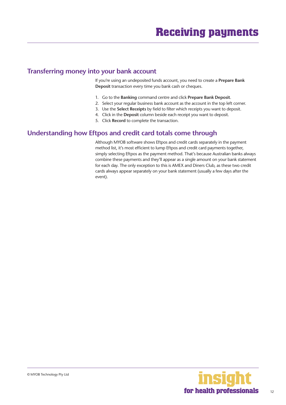#### <span id="page-11-0"></span>**Transferring money into your bank account**

If you're using an undeposited funds account, you need to create a **Prepare Bank Deposit** transaction every time you bank cash or cheques.

- 1. Go to the **Banking** command centre and click **Prepare Bank Deposit**.
- 2. Select your regular business bank account as the account in the top left corner.
- 3. Use the **Select Receipts** by field to filter which receipts you want to deposit.
- 4. Click in the **Deposit** column beside each receipt you want to deposit.
- 5. Click **Record** to complete the transaction.

#### **Understanding how Eftpos and credit card totals come through**

Although MYOB software shows Eftpos and credit cards separately in the payment method list, it's most efficient to lump Eftpos and credit card payments together, simply selecting Eftpos as the payment method. That's because Australian banks always combine these payments and they'll appear as a single amount on your bank statement for each day. The only exception to this is AMEX and Diners Club, as these two credit cards always appear separately on your bank statement (usually a few days after the event).

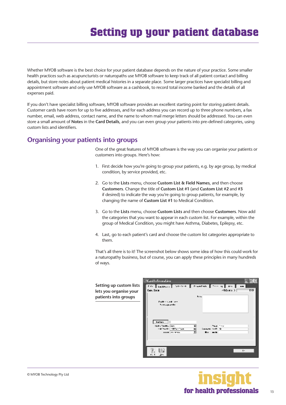<span id="page-12-0"></span>Whether MYOB software is the best choice for your patient database depends on the nature of your practice. Some smaller health practices such as acupuncturists or naturopaths use MYOB software to keep track of all patient contact and billing details, but store notes about patient medical histories in a separate place. Some larger practices have specialist billing and appointment software and only use MYOB software as a cashbook, to record total income banked and the details of all expenses paid.

If you don't have specialist billing software, MYOB software provides an excellent starting point for storing patient details. Customer cards have room for up to five addresses, and for each address you can record up to three phone numbers, a fax number, email, web address, contact name, and the name to whom mail merge letters should be addressed. You can even store a small amount of **Notes** in the **Card Details**, and you can even group your patients into pre-defined categories, using custom lists and identifiers.

#### **Organising your patients into groups**

One of the great features of MYOB software is the way you can organise your patients or customers into groups. Here's how:

- 1. First decide how you're going to group your patients, e.g. by age group, by medical condition, by service provided, etc.
- 2. Go to the **Lists** menu, choose **Custom List & Field Names**, and then choose **Customers**. Change the title of **Custom List #1** (and **Custom List #2** and **#3** if desired) to indicate the way you're going to group patients, for example, by changing the name of **Custom List #1** to Medical Condition.
- 3. Go to the **Lists** menu, choose **Custom Lists** and then choose **Customers**. Now add the categories that you want to appear in each custom list. For example, within the group of Medical Condition, you might have Asthma, Diabetes, Epilepsy, etc.
- 4. Last, go to each patient's card and choose the custom list categories appropriate to them.

That's all there is to it! The screenshot below shows some idea of how this could work for a naturopathy business, but of course, you can apply these principles in many hundreds of ways.

|                         | <b>Card Information</b>                                                                               |       |                                                    |          |                           |
|-------------------------|-------------------------------------------------------------------------------------------------------|-------|----------------------------------------------------|----------|---------------------------|
| Setting up custom lists | TWO I LEADERS I INTO THE INTERNATIONAL INC. I                                                         |       |                                                    | - 500    |                           |
| lets you organise your  | Еми. Боста                                                                                            |       |                                                    | chines > | $D\overline{\mathcal{D}}$ |
| patients into groups    | <b>Trafficial card form</b><br><b>Non-promise</b>                                                     | b. su |                                                    |          |                           |
|                         | <b>Barbaro</b><br>states footballing<br>state for the control of the control of<br><b>HILD OF TAX</b> |       | the control<br>Company with the<br><b>Burnston</b> |          |                           |
|                         | Jıs.<br>r. 1                                                                                          |       |                                                    |          | $\cdot$                   |

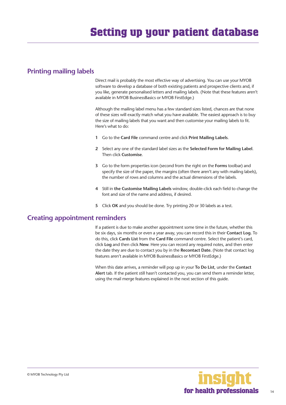#### <span id="page-13-0"></span>**Printing mailing labels**

Direct mail is probably the most effective way of advertising. You can use your MYOB software to develop a database of both existing patients and prospective clients and, if you like, generate personalised letters and mailing labels. (Note that these features aren't available in MYOB BusinessBasics or MYOB FirstEdge.)

Although the mailing label menu has a few standard sizes listed, chances are that none of these sizes will exactly match what you have available. The easiest approach is to buy the size of mailing labels that you want and then customise your mailing labels to fit. Here's what to do:

- **1** Go to the **Card File** command centre and click **Print Mailing Labels**.
- **2** Select any one of the standard label sizes as the **Selected Form for Mailing Label**. Then click **Customise**.
- **3** Go to the form properties icon (second from the right on the **Forms** toolbar) and specify the size of the paper, the margins (often there aren't any with mailing labels), the number of rows and columns and the actual dimensions of the labels.
- **4** Still in **the Customise Mailing Labels** window, double-click each field to change the font and size of the name and address, if desired.
- **5** Click **OK** and you should be done. Try printing 20 or 30 labels as a test.

#### **Creating appointment reminders**

If a patient is due to make another appointment some time in the future, whether this be six days, six months or even a year away, you can record this in their **Contact Log.** To do this, click **Cards List** from the **Card File** command centre. Select the patient's card, click **Log** and then click **New**. Here you can record any required notes, and then enter the date they are due to contact you by in the **Recontact Date.** (Note that contact log features aren't available in MYOB BusinessBasics or MYOB FirstEdge.)

When this date arrives, a reminder will pop up in your **To Do List**, under the **Contact Alert** tab. If the patient still hasn't contacted you, you can send them a reminder letter, using the mail merge features explained in the next section of this guide.

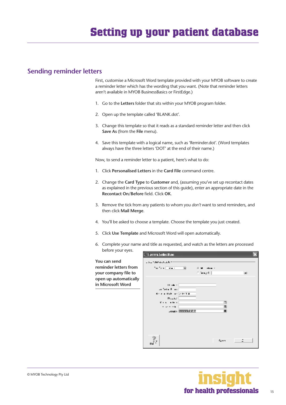#### <span id="page-14-0"></span>**Sending reminder letters**

First, customise a Microsoft Word template provided with your MYOB software to create a reminder letter which has the wording that you want. (Note that reminder letters aren't available in MYOB BusinessBasics or FirstEdge.)

- 1. Go to the **Letters** folder that sits within your MYOB program folder.
- 2. Open up the template called 'BLANK.dot'.
- 3. Change this template so that it reads as a standard reminder letter and then click **Save As** (from the **File** menu).
- 4. Save this template with a logical name, such as 'Reminder.dot'. (Word templates always have the three letters 'DOT' at the end of their name.)

Now, to send a reminder letter to a patient, here's what to do:

- 1. Click **Personalised Letters** in the **Card File** command centre.
- 2. Change the **Card Type** to **Customer** and, (assuming you've set up recontact dates as explained in the previous section of this guide), enter an appropriate date in the **Recontact On/Before** field. Click **OK**.
- 3. Remove the tick from any patients to whom you *don't* want to send reminders, and then click **Mail Merge**.
- 4. You'll be asked to choose a template. Choose the template you just created.
- 5. Click **Use Template** and Microsoft Word will open automatically.
- 6. Complete your name and title as requested, and watch as the letters are processed before your eyes.

**Eliorms Selection You can send CALIMATINAL reminder letters from**  ta taa jiraan ы Albert C  $+$ **your company file to**   $\log_{10}(1)$ lеrі **open up automatically in Microsoft Word**  $\mathbf{H}$  and  $\mathbf{H}$ an Terra Filler Krista Bartas (zerra  $P_{\text{max}}$ **Carlo Adam** Ţ. . . . . . **.** Ξ **Jose Bronzelle** 7 fees.

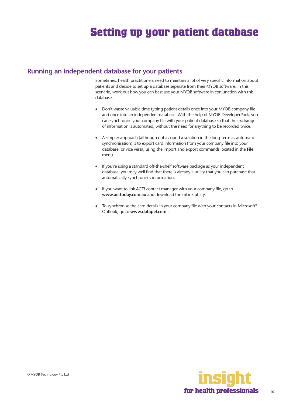#### **Running an independent database for your patients**

Sometimes, health practitioners need to maintain a lot of very specific information about patients and decide to set up a database separate from their MYOB software. In this scenario, work out how you can best use your MYOB software in conjunction with this database.

- Don't waste valuable time typing patient details once into your MYOB company file and once into an independent database. With the help of MYOB DeveloperPack, you can synchronise your company file with your patient database so that the exchange of information is automated, without the need for anything to be recorded twice.
- A simpler approach (although not as good a solution in the long-term as automatic synchronisation) is to export card information from your company file into your database, or vice versa, using the import and export commands located in the **File**  menu.
- If you're using a standard off-the-shelf software package as your independent database, you may well find that there is already a utility that you can purchase that automatically synchronises information.
- If you want to link ACT! contact manager with your company file, go to **www.acttoday.com.au** and download the mLink utility.
- To synchronise the card details in your company file with your contacts in Microsoft® Outlook, go to **www.datapel.com .**

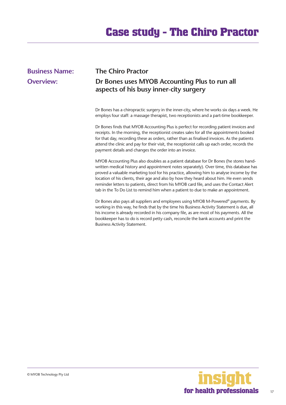## <span id="page-16-0"></span>**Business Name: The Chiro Practor**

## **Overview: Dr Bones uses MYOB Accounting Plus to run all aspects of his busy inner-city surgery**

Dr Bones has a chiropractic surgery in the inner-city, where he works six days a week. He employs four staff: a massage therapist, two receptionists and a part-time bookkeeper.

Dr Bones finds that MYOB Accounting Plus is perfect for recording patient invoices and receipts. In the morning, the receptionist creates sales for all the appointments booked for that day, recording these as orders, rather than as finalised invoices. As the patients attend the clinic and pay for their visit, the receptionist calls up each order, records the payment details and changes the order into an invoice.

MYOB Accounting Plus also doubles as a patient database for Dr Bones (he stores handwritten medical history and appointment notes separately). Over time, this database has proved a valuable marketing tool for his practice, allowing him to analyse income by the location of his clients, their age and also by how they heard about him. He even sends reminder letters to patients, direct from his MYOB card file, and uses the Contact Alert tab in the To Do List to remind him when a patient to due to make an appointment.

Dr Bones also pays all suppliers and employees using MYOB M-Powered<sup>®</sup> payments. By working in this way, he finds that by the time his Business Activity Statement is due, all his income is already recorded in his company file, as are most of his payments. All the bookkeeper has to do is record petty cash, reconcile the bank accounts and print the Business Activity Statement.

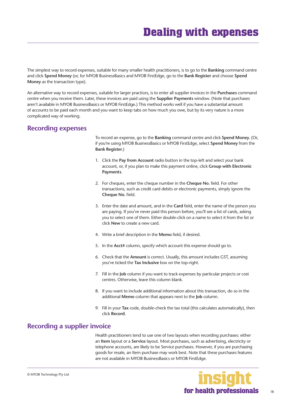<span id="page-17-0"></span>The simplest way to record expenses, suitable for many smaller health practitioners, is to go to the **Banking** command centre and click **Spend Money** (or, for MYOB BusinessBasics and MYOB FirstEdge, go to the **Bank Register** and choose **Spend Money** as the transaction type).

An alternative way to record expenses, suitable for larger practices, is to enter all supplier invoices in the **Purchases** command centre when you receive them. Later, these invoices are paid using the **Supplier Payments** window. (Note that purchases aren't available in MYOB BusinessBasics or MYOB FirstEdge.) This method works well if you have a substantial amount of accounts to be paid each month and you want to keep tabs on how much you owe, but by its very nature is a more complicated way of working.

#### **Recording expenses**

To record an expense, go to the **Banking** command centre and click **Spend Money**. (Or, if you're using MYOB BusinessBasics or MYOB FirstEdge, select **Spend Money** from the **Bank Register**.)

- 1. Click the **Pay from Account** radio button in the top-left and select your bank account, or, if you plan to make this payment online, click **Group with Electronic Payments**.
- 2. For cheques, enter the cheque number in the **Cheque No.** field. For other transactions, such as credit card debits or electronic payments, simply ignore the **Cheque No.** field.
- 3. Enter the date and amount, and in the **Card** field, enter the name of the person you are paying. If you've never paid this person before, you'll see a list of cards, asking you to select one of them. Either double-click on a name to select it from the list or click **New** to create a new card.
- 4. Write a brief description in the **Memo** field, if desired.
- 5. In the **Acct#** column, specify which account this expense should go to.
- 6. Check that the **Amount** is correct. Usually, this amount includes GST, assuming you've ticked the **Tax Inclusive** box on the top-right.
- 7. Fill in the **Job** column if you want to track expenses by particular projects or cost centres. Otherwise, leave this column blank.
- 8. If you want to include additional information about this transaction, do so in the additional **Memo** column that appears next to the **Job** column.
- 9. Fill in your **Tax** code, double-check the tax total (this calculates automatically), then click **Record**.

#### **Recording a supplier invoice**

Health practitioners tend to use one of two layouts when recording purchases: either an **Item** layout or a **Service** layout. Most purchases, such as advertising, electricity or telephone accounts, are likely to be Service purchases. However, if you are purchasing goods for resale, an Item purchase may work best. Note that these purchases features are not available in MYOB BusinessBasics or MYOB FirstEdge.

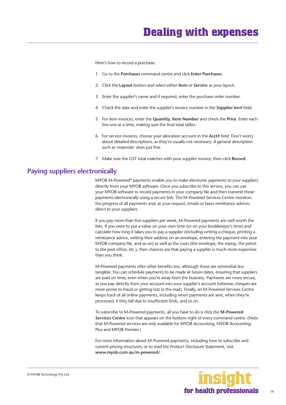<span id="page-18-0"></span>Here's how to record a purchase:

- 1. Go to the **Purchases** command centre and click **Enter Purchases**.
- 2. Click the **Layout** button and select either **Item** or **Service** as your layout.
- 3. Enter the supplier's name and if required, enter the purchase order number.
- 4. Check the date and enter the supplier's invoice number in the **Supplier Inv#** field.
- 5. For item invoices, enter the **Quantity**, **Item Number** and check the **Price**. Enter each line one at a time, making sure the final total tallies.
- 6. For service invoices, choose your allocation account in the **Acct#** field. Don't worry about detailed descriptions, as they're usually not necessary. A general description such as 'materials' does just fine.
- 7. Make sure the GST total matches with your supplier invoice; then click **Record**.

#### **Paying suppliers electronically**

MYOB M-Powered® payments enable you to make electronic payments to your suppliers directly from your MYOB software. Once you subscribe to this service, you can use your MYOB software to record payments in your company file and then transmit these payments electronically using a secure link. The M-Powered Services Centre monitors the progress of all payments and, at your request, emails or faxes remittance advices direct to your suppliers.

If you pay more than five suppliers per week, M-Powered payments are well worth the fees. If you were to put a value on your own time (or on your bookkeeper's time) and calculate how long it takes you to pay a supplier (including writing a cheque, printing a remittance advice, writing their address on an envelope, entering the payment into your MYOB company file, and so on) as well as the costs (the envelope, the stamp, the petrol to the post office, etc.), then chances are that paying a supplier is much more expensive than you think.

M-Powered payments offer other benefits too, although these are somewhat less tangible. You can schedule payments to be made at future dates, ensuring that suppliers are paid on time, even when you're away from the business. Payments are more secure, as you pay directly from your account into your supplier's account (whereas cheques are more prone to fraud or getting lost in the mail). Finally, an M-Powered Services Centre keeps track of all online payments, including when payments are sent, when they're processed, if they fail due to insufficient finds, and so on.

To subscribe to M-Powered payments, all you have to do is click the **M-Powered Services Centre** icon that appears on the bottom-right of every command centre. (Note that M-Powered services are only available for MYOB Accounting, MYOB Accounting Plus and MYOB Premier.)

For more information about M-Powered payments, including how to subscribe and current pricing structures, or to read the Product Disclosure Statement, visit **www.myob.com.au/m-powered/ .**

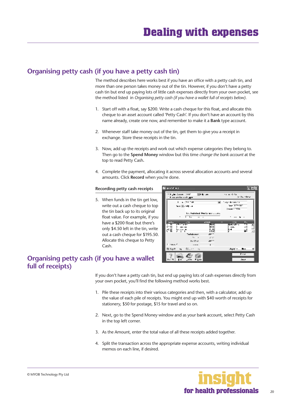#### <span id="page-19-0"></span>**Organising petty cash (if you have a petty cash tin)**

The method describes here works best if you have an office with a petty cash tin, and more than one person takes money out of the tin. However, if you don't have a petty cash tin but end up paying lots of little cash expenses directly from your own pocket, see the method listed in *Organising petty cash (if you have a wallet full of receipts below)*.

- 1. Start off with a float, say \$200. Write a cash cheque for this float, and allocate this cheque to an asset account called 'Petty Cash'. If you don't have an account by this name already, create one now, and remember to make it a **Bank** type account.
- 2. Whenever staff take money out of the tin, get them to give you a receipt in exchange. Store these receipts in the tin.
- 3. Now, add up the receipts and work out which expense categories they belong to. Then go to the **Spend Money** window but this time *change the bank account* at the top to read Petty Cash**.**
- 4. Complete the payment, allocating it across several allocation accounts and several amounts. Click **Record** when you're done.

#### **Recording petty cash receipts**

5. When funds in the tin get low, write out a cash cheque to top the tin back up to its original float value. For example, if you have a \$200 float but there's only \$4.50 left in the tin, write out a cash cheque for \$195.50. Allocate this cheque to Petty Cash.



#### **Organising petty cash (if you have a wallet full of receipts)**

If you don't have a petty cash tin, but end up paying lots of cash expenses directly from your own pocket, you'll find the following method works best.

- 1. Pile these receipts into their various categories and then, with a calculator, add up the value of each pile of receipts. You might end up with \$40 worth of receipts for stationery, \$50 for postage, \$15 for travel and so on.
- 2. Next, go to the Spend Money window and as your bank account, select Petty Cash in the top left corner.
- 3. As the Amount, enter the total value of all these receipts added together.
- 4. Split the transaction across the appropriate expense accounts, writing individual memos on each line, if desired.

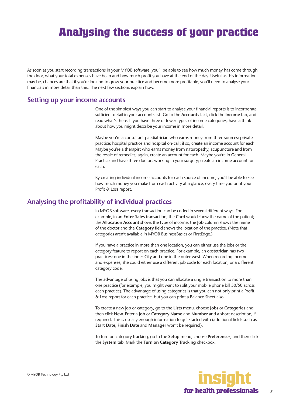<span id="page-20-0"></span>As soon as you start recording transactions in your MYOB software, you'll be able to see how much money has come through the door, what your total expenses have been and how much profit you have at the end of the day. Useful as this information may be, chances are that if you're looking to grow your practice and become more profitable, you'll need to analyse your financials in more detail than this. The next few sections explain how.

#### **Setting up your income accounts**

One of the simplest ways you can start to analyse your financial reports is to incorporate sufficient detail in your accounts list. Go to the **Accounts List**, click the **Income** tab, and read what's there. If you have three or fewer types of income categories, have a think about how you might describe your income in more detail.

Maybe you're a consultant paediatrician who earns money from three sources: private practice; hospital practice and hospital on-call; if so, create an income account for each. Maybe you're a therapist who earns money from naturopathy, acupuncture and from the resale of remedies; again, create an account for each. Maybe you're in General Practice and have three doctors working in your surgery; create an income account for each.

By creating individual income accounts for each source of income, you'll be able to see how much money you make from each activity at a glance, every time you print your Profit & Loss report.

#### **Analysing the profitability of individual practices**

In MYOB software, every transaction can be coded in several different ways. For example, in an **Enter Sales** transaction, the **Card** would show the name of the patient; the **Allocation Account** shows the type of income; the **Job** column shows the name of the doctor and the **Category** field shows the location of the practice. (Note that categories aren't available in MYOB BusinessBasics or FirstEdge.)

If you have a practice in more than one location, you can either use the jobs or the category feature to report on each practice. For example, an obstetrician has two practices: one in the inner-City and one in the outer-west. When recording income and expenses, she could either use a different job code for each location, or a different category code.

The advantage of using jobs is that you can allocate a single transaction to more than one practice (for example, you might want to split your mobile phone bill 50/50 across each practice). The advantage of using categories is that you can not only print a Profit & Loss report for each practice, but you can print a Balance Sheet also.

To create a new job or category, go to the **Lists** menu, choose **Jobs** or **Categories** and then click **New**. Enter a **Job** or **Category Name** and **Number** and a short description, if required. This is usually enough information to get started with (additional fields such as **Start Date**, **Finish Date** and **Manager** won't be required).

To turn on category tracking, go to the **Setup** menu, choose **Preferences**, and then click the **System** tab. Mark the **Turn on Category Tracking** checkbox.

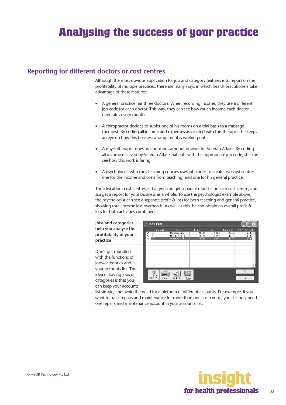#### <span id="page-21-0"></span>**Reporting for different doctors or cost centres**

Although the most obvious application for job and category features is to report on the profitability of multiple practices, there are many ways in which health practitioners take advantage of these features:

- A general practice has three doctors. When recording income, they use a different job code for each doctor. This way, they can see how much income each doctor generates every month.
- A chiropractor decides to sublet one of his rooms on a trial basis to a massage therapist. By coding all income and expenses associated with this therapist, he keeps an eye on how this business arrangement is working out.
- A physiotherapist does an enormous amount of work for Veteran Affairs. By coding all income received by Veteran Affairs patients with the appropriate job code, she can see how this work is faring.
- A psychologist who runs teaching courses uses job codes to create two cost centres: one for the income and costs from teaching, and one for his general practice.

The idea about cost centres is that you can get separate reports for each cost centre, and *still* get a report for your business as a whole. To use the psychologist example above, the psychologist can see a separate profit & loss for both teaching and general practice, showing total income less overheads. As well as this, he can obtain an overall profit & loss for both activities combined.

**Jobs and categories help you analyse the profitability of your practice**

Don't get muddled with the functions of jobs/categories and your accounts list. The idea of having jobs or categories is that you can keep your accounts



list simple, and avoid the need for a plethora of different accounts. For example, if you want to track repairs and maintenance for more than one cost centre, you still only need one repairs and maintenance account in your accounts list.

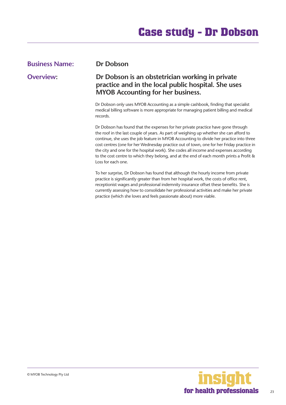### <span id="page-22-0"></span>**Business Name: Dr Dobson Overview: Dr Dobson is an obstetrician working in private practice and in the local public hospital. She uses MYOB Accounting for her business.**

Dr Dobson only uses MYOB Accounting as a simple cashbook, finding that specialist medical billing software is more appropriate for managing patient billing and medical records.

Dr Dobson has found that the expenses for her private practice have gone through the roof in the last couple of years. As part of weighing up whether she can afford to continue, she uses the job feature in MYOB Accounting to divide her practice into three cost centres (one for her Wednesday practice out of town, one for her Friday practice in the city and one for the hospital work). She codes all income and expenses according to the cost centre to which they belong, and at the end of each month prints a Profit & Loss for each one.

To her surprise, Dr Dobson has found that although the hourly income from private practice is significantly greater than from her hospital work, the costs of office rent, receptionist wages and professional indemnity insurance offset these benefits. She is currently assessing how to consolidate her professional activities and make her private practice (which she loves and feels passionate about) more viable.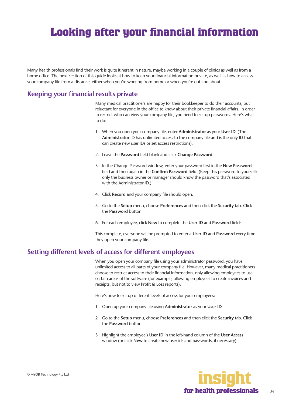<span id="page-23-0"></span>Many health professionals find their work is quite itinerant in nature, maybe working in a couple of clinics as well as from a home office. The next section of this guide looks at how to keep your financial information private, as well as how to access your company file from a distance, either when you're working from home or when you're out and about.

#### **Keeping your financial results private**

Many medical practitioners are happy for their bookkeeper to do their accounts, but reluctant for everyone in the office to know about their private financial affairs. In order to restrict who can view your company file, you need to set up passwords. Here's what to do:

- 1. When you open your company file, enter **Administrator** as your **User ID**. (The **Administrator** ID has unlimited access to the company file and is the only ID that can create new user IDs or set access restrictions).
- 2. Leave the **Password** field blank and click **Change Password**.
- 3. In the Change Password window, enter your password first in the **New Password**  field and then again in the **Confirm Password** field. (Keep this password to yourself; only the business owner or manager should know the password that's associated with the Administrator ID.)
- 4. Click **Record** and your company file should open.
- 5. Go to the **Setup** menu, choose **Preferences** and then click the **Security** tab. Click the **Password** button.
- 6. For each employee, click **New** to complete the **User ID** and **Password** fields.

This complete, everyone will be prompted to enter a **User ID** and **Password** every time they open your company file.

#### **Setting different levels of access for different employees**

When you open your company file using your administrator password, you have unlimited access to all parts of your company file. However, many medical practitioners choose to restrict access to their financial information, only allowing employees to use certain areas of the software (for example, allowing employees to create invoices and receipts, but not to view Profit & Loss reports).

Here's how to set up different levels of access for your employees:

- 1 Open up your company file using **Administrator** as your **User ID**.
- 2 Go to the **Setup** menu, choose **Preferences** and then click the **Security** tab. Click the **Password** button.
- 3 Highlight the employee's **User ID** in the left-hand column of the **User Access**  window (or click **New** to create new user ids and passwords, if necessary).

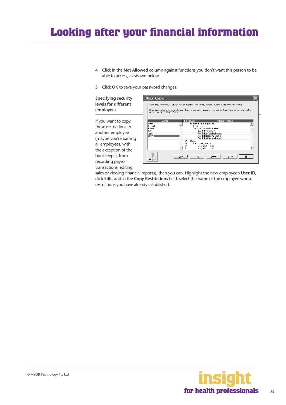## <span id="page-24-0"></span>**Looking after your financial information**

- 4 Click in the **Not Allowed** column against functions you don't want this person to be able to access, as shown below.
- 5 Click **OK** to save your password changes.

**Specifying security levels for different employees**

If you want to copy these restrictions to another employee (maybe you're barring all employees, with the exception of the bookkeeper, from recording payroll transactions, editing



sales or viewing financial reports), then you can. Highlight the new employee's **User ID**, click **Edit**, and in the **Copy Restrictions** field, select the name of the employee whose restrictions you have already established.

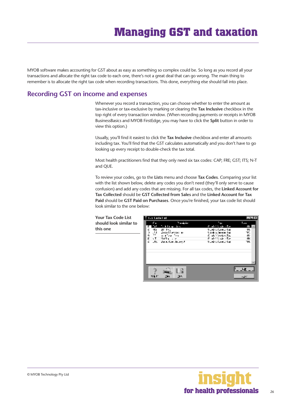<span id="page-25-0"></span>MYOB software makes accounting for GST about as easy as something so complex could be. So long as you record all your transactions and allocate the right tax code to each one, there's not a great deal that can go wrong. The main thing to remember is to allocate the right tax code when recording transactions. This done, everything else should fall into place.

#### **Recording GST on income and expenses**

Whenever you record a transaction, you can choose whether to enter the amount as tax-inclusive or tax-exclusive by marking or clearing the **Tax Inclusive** checkbox in the top right of every transaction window. (When recording payments or receipts in MYOB BusinessBasics and MYOB FirstEdge, you may have to click the **Split** button in order to view this option.)

Usually, you'll find it easiest to click the **Tax Inclusive** checkbox and enter all amounts including tax. You'll find that the GST calculates automatically and you don't have to go looking up every receipt to double-check the tax total.

Most health practitioners find that they only need six tax codes: CAP; FRE; GST; ITS; N-T and QUE.

To review your codes, go to the **Lists** menu and choose **Tax Codes**. Comparing your list with the list shown below, delete any codes you don't need (they'll only serve to cause confusion) and add any codes that are missing. For all tax codes, the **Linked Account for Tax Collected** should be **GST Collected from Sales** and the **Linked Account for Tax Paid** should be **GST Paid on Purchases**. Once you're finished, your tax code list should look similar to the one below:

**Your Tax Code List should look similar to this one**



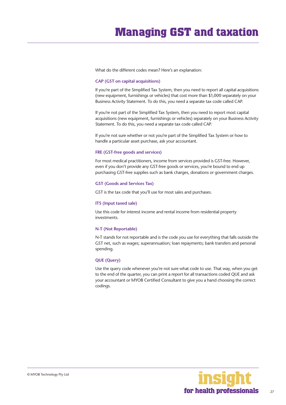<span id="page-26-0"></span>What do the different codes mean? Here's an explanation:

#### **CAP (GST on capital acquisitions)**

If you're part of the Simplified Tax System, then you need to report all capital acquisitions (new equipment, furnishings or vehicles) that cost more than \$1,000 separately on your Business Activity Statement. To do this, you need a separate tax code called CAP.

If you're not part of the Simplified Tax System, then you need to report most capital acquisitions (new equipment, furnishings or vehicles) separately on your Business Activity Statement. To do this, you need a separate tax code called CAP.

If you're not sure whether or not you're part of the Simplified Tax System or how to handle a particular asset purchase, ask your accountant.

#### **FRE (GST-free goods and services)**

For most medical practitioners, income from services provided is GST-free. However, even if you don't provide any GST-free goods or services, you're bound to end up purchasing GST-free supplies such as bank charges, donations or government charges.

#### **GST (Goods and Services Tax)**

GST is the tax code that you'll use for most sales and purchases.

#### **ITS (Input taxed sale)**

Use this code for interest income and rental income from residential property investments.

#### **N-T (Not Reportable)**

N-T stands for not reportable and is the code you use for everything that falls outside the GST net, such as wages; superannuation; loan repayments; bank transfers and personal spending.

#### **QUE (Query)**

Use the query code whenever you're not sure what code to use. That way, when you get to the end of the quarter, you can print a report for all transactions coded QUE and ask your accountant or MYOB Certified Consultant to give you a hand choosing the correct codings.

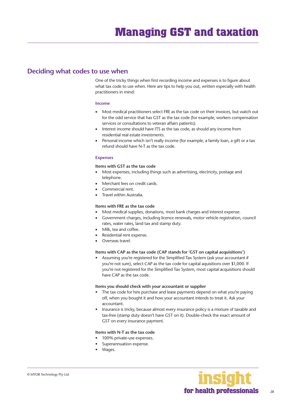#### <span id="page-27-0"></span>**Deciding what codes to use when**

One of the tricky things when first recording income and expenses is to figure about what tax code to use when. Here are tips to help you out, written especially with health practitioners in mind:

#### **Income**

- Most medical practitioners select FRE as the tax code on their invoices, but watch out for the odd service that has GST as the tax code (for example, workers compensation services or consultations to veteran affairs patients).
- Interest income should have ITS as the tax code, as should any income from residential real estate investments.
- Personal income which isn't really income (for example, a family loan, a gift or a tax refund should have N-T as the tax code.

#### **Expenses**

#### **Items with GST as the tax code**

- Most expenses, including things such as advertising, electricity, postage and telephone.
- Merchant fees on credit cards.
- Commercial rent.
- Travel within Australia.

#### **Items with FRE as the tax code**

- Most medical supplies, donations, most bank charges and interest expense.
- Government charges, including licence renewals, motor vehicle registration, council rates, water rates, land tax and stamp duty.
- Milk, tea and coffee.
- Residential rent expense.
- Overseas travel.

#### **Items with CAP as the tax code (CAP stands for 'GST on capital acquisitions')**

• Assuming you're registered for the Simplified Tax System (ask your accountant if you're not sure), select CAP as the tax code for capital aquisitions over \$1,000. If you're not registered for the Simplified Tax System, most capital acquisitions should have CAP as the tax code.

#### **Items you should check with your accountant or supplier**

- The tax code for hire purchase and lease payments depend on what you're paying off, when you bought it and how your accountant intends to treat it. Ask your accountant.
- Insurance is tricky, because almost every insurance policy is a mixture of taxable and tax-free (stamp duty doesn't have GST on it). Double-check the exact amount of GST on every insurance payment.

#### **Items with N-T as the tax code**

- 100% private-use expenses.
- Superannuation expense.
- Wages.